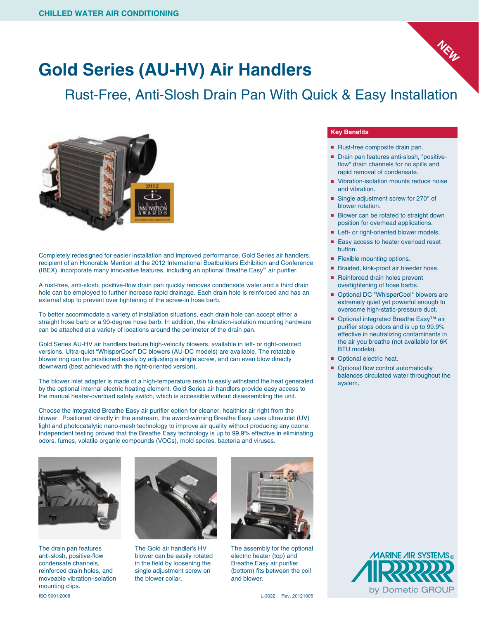

## **Gold Series (AU-HV) Air Handlers**

Rust-Free, Anti-Slosh Drain Pan With Quick & Easy Installation



Completely redesigned for easier installation and improved performance, Gold Series air handlers, recipient of an Honorable Mention at the 2012 International Boatbuilders Exhibition and Conference (IBEX), incorporate many innovative features, including an optional Breathe Easy™ air purifier.

A rust-free, anti-slosh, positive-flow drain pan quickly removes condensate water and a third drain hole can be employed to further increase rapid drainage. Each drain hole is reinforced and has an external stop to prevent over tightening of the screw-in hose barb.

To better accommodate a variety of installation situations, each drain hole can accept either a straight hose barb or a 90-degree hose barb. In addition, the vibration-isolation mounting hardware can be attached at a variety of locations around the perimeter of the drain pan.

Gold Series AU-HV air handlers feature high-velocity blowers, available in left- or right-oriented versions. Ultra-quiet "WhisperCool" DC blowers (AU-DC models) are available. The rotatable blower ring can be positioned easily by adjusting a single screw, and can even blow directly downward (best achieved with the right-oriented version).

The blower inlet adapter is made of a high-temperature resin to easily withstand the heat generated by the optional internal electric heating element. Gold Series air handlers provide easy access to the manual heater-overload safety switch, which is accessible without disassembling the unit.

Choose the integrated Breathe Easy air purifier option for cleaner, healthier air right from the blower. Positioned directly in the airstream, the award-winning Breathe Easy uses ultraviolet (UV) light and photocatalytic nano-mesh technology to improve air quality without producing any ozone. Independent testing proved that the Breathe Easy technology is up to 99.9% effective in eliminating odors, fumes, volatile organic compounds (VOCs), mold spores, bacteria and viruses.



The drain pan features anti-slosh, positive-flow condensate channels, reinforced drain holes, and moveable vibration-isolation mounting clips.



The Gold air handler's HV blower can be easily rotated in the field by loosening the single adjustment screw on the blower collar.



The assembly for the optional electric heater (top) and Breathe Easy air purifier (bottom) fits between the coil and blower.

## **Key Benefits**

- Rust-free composite drain pan.
- Drain pan features anti-slosh, "positiveflow" drain channels for no spills and rapid removal of condensate.
- Vibration-isolation mounts reduce noise and vibration.
- Single adjustment screw for 270° of blower rotation.
- Blower can be rotated to straight down position for overhead applications.
- Left- or right-oriented blower models.
- Easy access to heater overload reset button.
- Flexible mounting options.
- Braided, kink-proof air bleeder hose.
- Reinforced drain holes prevent overtightening of hose barbs.
- Optional DC "WhisperCool" blowers are extremely quiet yet powerful enough to overcome high-static-pressure duct.
- Optional integrated Breathe Easy<sup>™</sup> air purifier stops odors and is up to 99.9% effective in neutralizing contaminants in the air you breathe (not available for 6K BTU models).
- Optional electric heat.
- Optional flow control automatically balances circulated water throughout the system.